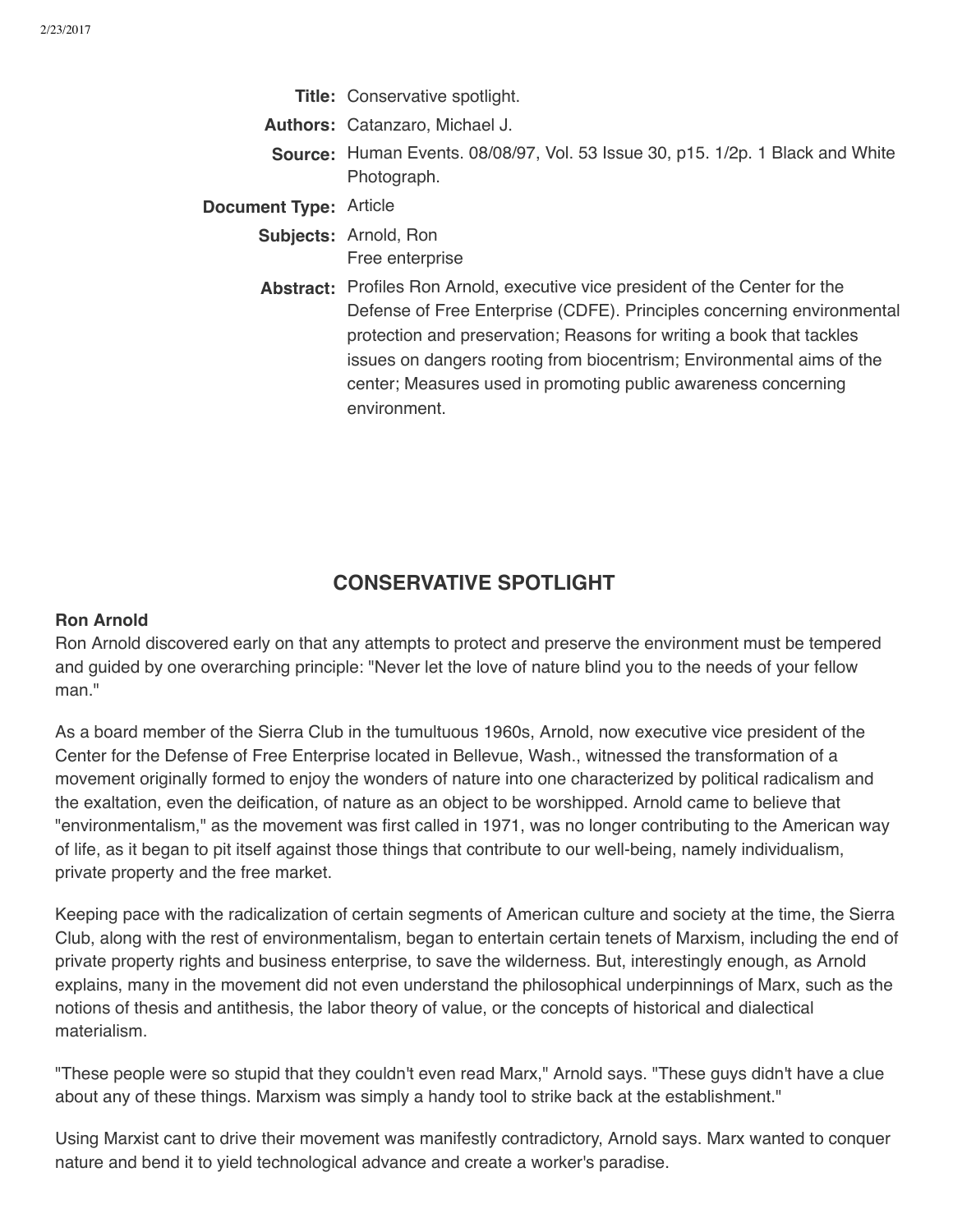- **Title:** Conservative spotlight.
- **Authors:** Catanzaro, Michael J.
- **Source:** Human Events. 08/08/97, Vol. 53 Issue 30, p15. 1/2p. 1 Black and White Photograph.
- **Document Type:** Article
	- **Subjects:** Arnold, Ron Free enterprise
	- **Abstract:** Profiles Ron Arnold, executive vice president of the Center for the Defense of Free Enterprise (CDFE). Principles concerning environmental protection and preservation; Reasons for writing a book that tackles issues on dangers rooting from biocentrism; Environmental aims of the center; Measures used in promoting public awareness concerning environment.

## **CONSERVATIVE SPOTLIGHT**

## **Ron Arnold**

Ron Arnold discovered early on that any attempts to protect and preserve the environment must be tempered and guided by one overarching principle: "Never let the love of nature blind you to the needs of your fellow man."

As a board member of the Sierra Club in the tumultuous 1960s, Arnold, now executive vice president of the Center for the Defense of Free Enterprise located in Bellevue, Wash., witnessed the transformation of a movement originally formed to enjoy the wonders of nature into one characterized by political radicalism and the exaltation, even the deification, of nature as an object to be worshipped. Arnold came to believe that "environmentalism," as the movement was first called in 1971, was no longer contributing to the American way of life, as it began to pit itself against those things that contribute to our well-being, namely individualism, private property and the free market.

Keeping pace with the radicalization of certain segments of American culture and society at the time, the Sierra Club, along with the rest of environmentalism, began to entertain certain tenets of Marxism, including the end of private property rights and business enterprise, to save the wilderness. But, interestingly enough, as Arnold explains, many in the movement did not even understand the philosophical underpinnings of Marx, such as the notions of thesis and antithesis, the labor theory of value, or the concepts of historical and dialectical materialism.

"These people were so stupid that they couldn't even read Marx," Arnold says. "These guys didn't have a clue about any of these things. Marxism was simply a handy tool to strike back at the establishment."

Using Marxist cant to drive their movement was manifestly contradictory, Arnold says. Marx wanted to conquer nature and bend it to yield technological advance and create a worker's paradise.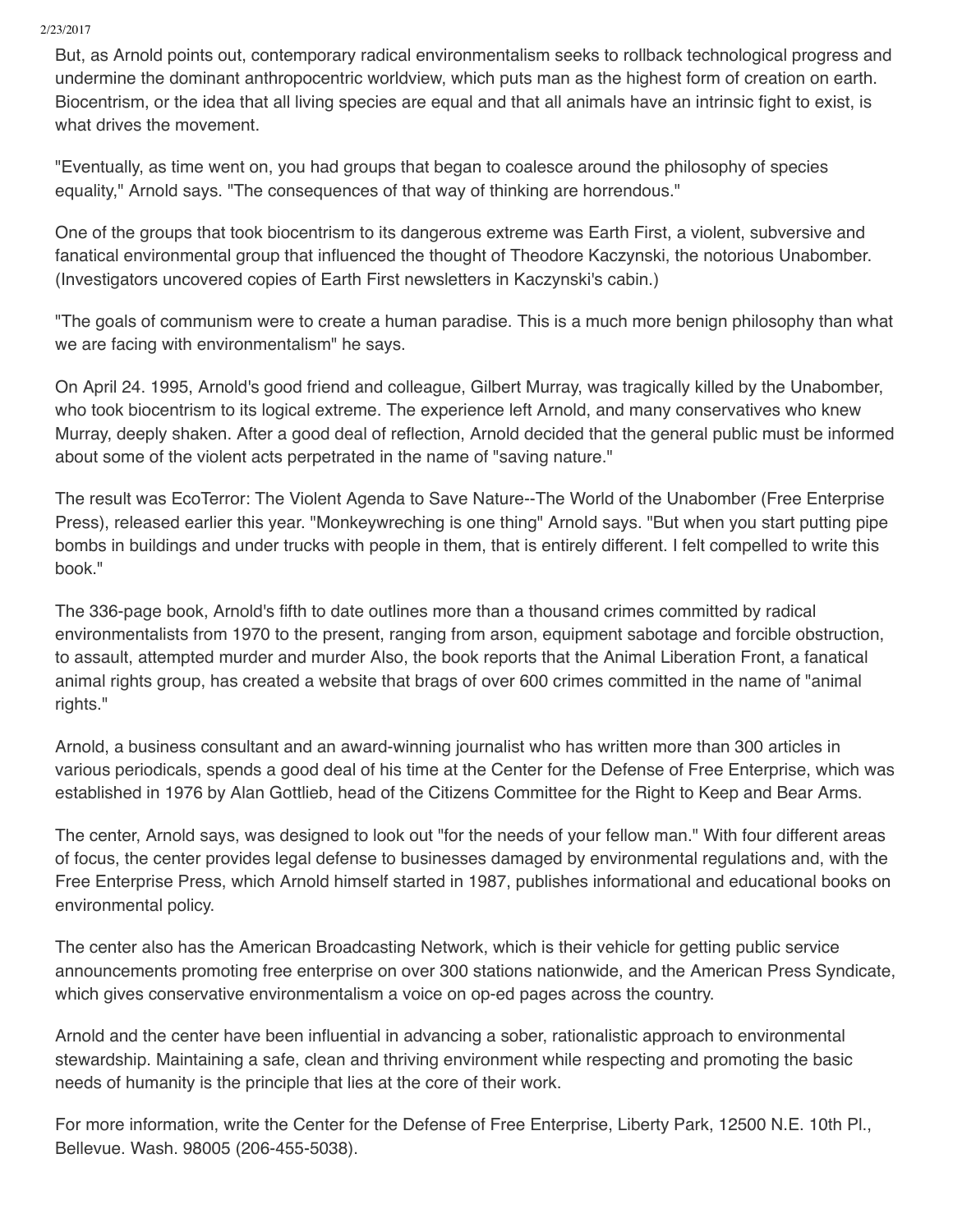## 2/23/2017

But, as Arnold points out, contemporary radical environmentalism seeks to rollback technological progress and undermine the dominant anthropocentric worldview, which puts man as the highest form of creation on earth. Biocentrism, or the idea that all living species are equal and that all animals have an intrinsic fight to exist, is what drives the movement.

"Eventually, as time went on, you had groups that began to coalesce around the philosophy of species equality," Arnold says. "The consequences of that way of thinking are horrendous."

One of the groups that took biocentrism to its dangerous extreme was Earth First, a violent, subversive and fanatical environmental group that influenced the thought of Theodore Kaczynski, the notorious Unabomber. (Investigators uncovered copies of Earth First newsletters in Kaczynski's cabin.)

"The goals of communism were to create a human paradise. This is a much more benign philosophy than what we are facing with environmentalism" he says.

On April 24. 1995, Arnold's good friend and colleague, Gilbert Murray, was tragically killed by the Unabomber, who took biocentrism to its logical extreme. The experience left Arnold, and many conservatives who knew Murray, deeply shaken. After a good deal of reflection, Arnold decided that the general public must be informed about some of the violent acts perpetrated in the name of "saving nature."

The result was EcoTerror: The Violent Agenda to Save Nature--The World of the Unabomber (Free Enterprise Press), released earlier this year. "Monkeywreching is one thing" Arnold says. "But when you start putting pipe bombs in buildings and under trucks with people in them, that is entirely different. I felt compelled to write this book."

The 336-page book, Arnold's fifth to date outlines more than a thousand crimes committed by radical environmentalists from 1970 to the present, ranging from arson, equipment sabotage and forcible obstruction, to assault, attempted murder and murder Also, the book reports that the Animal Liberation Front, a fanatical animal rights group, has created a website that brags of over 600 crimes committed in the name of "animal rights."

Arnold, a business consultant and an award-winning journalist who has written more than 300 articles in various periodicals, spends a good deal of his time at the Center for the Defense of Free Enterprise, which was established in 1976 by Alan Gottlieb, head of the Citizens Committee for the Right to Keep and Bear Arms.

The center, Arnold says, was designed to look out "for the needs of your fellow man." With four different areas of focus, the center provides legal defense to businesses damaged by environmental regulations and, with the Free Enterprise Press, which Arnold himself started in 1987, publishes informational and educational books on environmental policy.

The center also has the American Broadcasting Network, which is their vehicle for getting public service announcements promoting free enterprise on over 300 stations nationwide, and the American Press Syndicate, which gives conservative environmentalism a voice on op-ed pages across the country.

Arnold and the center have been influential in advancing a sober, rationalistic approach to environmental stewardship. Maintaining a safe, clean and thriving environment while respecting and promoting the basic needs of humanity is the principle that lies at the core of their work.

For more information, write the Center for the Defense of Free Enterprise, Liberty Park, 12500 N.E. 10th Pl., Bellevue. Wash. 98005 (206-455-5038).